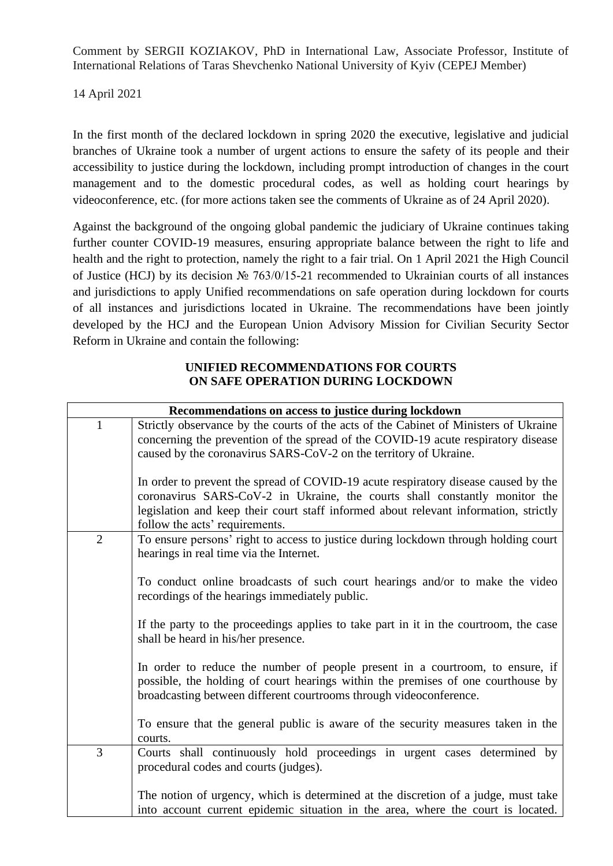Comment by SERGII KOZIAKOV, PhD in International Law, Associate Professor, Institute of International Relations of Taras Shevchenko National University of Kyiv (CEPEJ Member)

14 April 2021

In the first month of the declared lockdown in spring 2020 the executive, legislative and judicial branches of Ukraine took a number of urgent actions to ensure the safety of its people and their accessibility to justice during the lockdown, including prompt introduction of changes in the court management and to the domestic procedural codes, as well as holding court hearings by videoconference, etc. (for more actions taken see the comments of Ukraine as of 24 April 2020).

Against the background of the ongoing global pandemic the judiciary of Ukraine continues taking further counter COVID-19 measures, ensuring appropriate balance between the right to life and health and the right to protection, namely the right to a fair trial. On 1 April 2021 the High Council of Justice (HCJ) by its decision № 763/0/15-21 recommended to Ukrainian courts of all instances and jurisdictions to apply Unified recommendations on safe operation during lockdown for courts of all instances and jurisdictions located in Ukraine. The recommendations have been jointly developed by the HCJ and the European Union Advisory Mission for Civilian Security Sector Reform in Ukraine and contain the following:

## **UNIFIED RECOMMENDATIONS FOR COURTS ON SAFE OPERATION DURING LOCKDOWN**

| Recommendations on access to justice during lockdown |                                                                                                                                                                                                                                                                                            |  |
|------------------------------------------------------|--------------------------------------------------------------------------------------------------------------------------------------------------------------------------------------------------------------------------------------------------------------------------------------------|--|
| $\mathbf{1}$                                         | Strictly observance by the courts of the acts of the Cabinet of Ministers of Ukraine                                                                                                                                                                                                       |  |
|                                                      | concerning the prevention of the spread of the COVID-19 acute respiratory disease                                                                                                                                                                                                          |  |
|                                                      | caused by the coronavirus SARS-CoV-2 on the territory of Ukraine.                                                                                                                                                                                                                          |  |
|                                                      | In order to prevent the spread of COVID-19 acute respiratory disease caused by the<br>coronavirus SARS-CoV-2 in Ukraine, the courts shall constantly monitor the<br>legislation and keep their court staff informed about relevant information, strictly<br>follow the acts' requirements. |  |
| $\overline{2}$                                       | To ensure persons' right to access to justice during lockdown through holding court                                                                                                                                                                                                        |  |
|                                                      | hearings in real time via the Internet.                                                                                                                                                                                                                                                    |  |
|                                                      | To conduct online broadcasts of such court hearings and/or to make the video<br>recordings of the hearings immediately public.                                                                                                                                                             |  |
|                                                      | If the party to the proceedings applies to take part in it in the courtroom, the case<br>shall be heard in his/her presence.                                                                                                                                                               |  |
|                                                      | In order to reduce the number of people present in a courtroom, to ensure, if<br>possible, the holding of court hearings within the premises of one courthouse by<br>broadcasting between different courtrooms through videoconference.                                                    |  |
|                                                      | To ensure that the general public is aware of the security measures taken in the<br>courts.                                                                                                                                                                                                |  |
| 3                                                    | Courts shall continuously hold proceedings in urgent cases determined by                                                                                                                                                                                                                   |  |
|                                                      | procedural codes and courts (judges).                                                                                                                                                                                                                                                      |  |
|                                                      | The notion of urgency, which is determined at the discretion of a judge, must take                                                                                                                                                                                                         |  |
|                                                      | into account current epidemic situation in the area, where the court is located.                                                                                                                                                                                                           |  |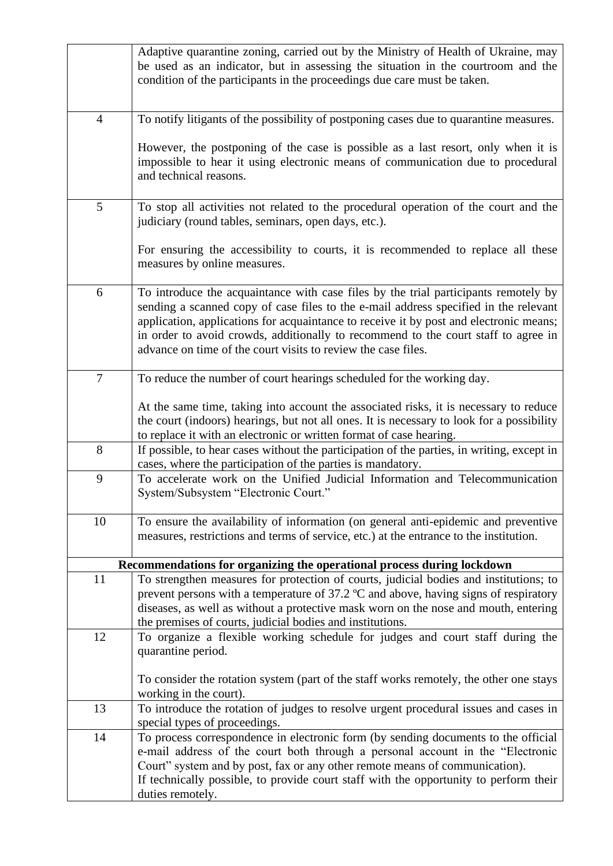|                | Adaptive quarantine zoning, carried out by the Ministry of Health of Ukraine, may<br>be used as an indicator, but in assessing the situation in the courtroom and the<br>condition of the participants in the proceedings due care must be taken.                                                                                                                                                                            |
|----------------|------------------------------------------------------------------------------------------------------------------------------------------------------------------------------------------------------------------------------------------------------------------------------------------------------------------------------------------------------------------------------------------------------------------------------|
| $\overline{4}$ | To notify litigants of the possibility of postponing cases due to quarantine measures.                                                                                                                                                                                                                                                                                                                                       |
|                | However, the postponing of the case is possible as a last resort, only when it is<br>impossible to hear it using electronic means of communication due to procedural<br>and technical reasons.                                                                                                                                                                                                                               |
| 5              | To stop all activities not related to the procedural operation of the court and the<br>judiciary (round tables, seminars, open days, etc.).                                                                                                                                                                                                                                                                                  |
|                | For ensuring the accessibility to courts, it is recommended to replace all these<br>measures by online measures.                                                                                                                                                                                                                                                                                                             |
| 6              | To introduce the acquaintance with case files by the trial participants remotely by<br>sending a scanned copy of case files to the e-mail address specified in the relevant<br>application, applications for acquaintance to receive it by post and electronic means;<br>in order to avoid crowds, additionally to recommend to the court staff to agree in<br>advance on time of the court visits to review the case files. |
| $\overline{7}$ | To reduce the number of court hearings scheduled for the working day.                                                                                                                                                                                                                                                                                                                                                        |
|                | At the same time, taking into account the associated risks, it is necessary to reduce<br>the court (indoors) hearings, but not all ones. It is necessary to look for a possibility<br>to replace it with an electronic or written format of case hearing.                                                                                                                                                                    |
| 8              | If possible, to hear cases without the participation of the parties, in writing, except in<br>cases, where the participation of the parties is mandatory.                                                                                                                                                                                                                                                                    |
| 9              | To accelerate work on the Unified Judicial Information and Telecommunication<br>System/Subsystem "Electronic Court."                                                                                                                                                                                                                                                                                                         |
| 10             | To ensure the availability of information (on general anti-epidemic and preventive<br>measures, restrictions and terms of service, etc.) at the entrance to the institution.                                                                                                                                                                                                                                                 |
|                | Recommendations for organizing the operational process during lockdown                                                                                                                                                                                                                                                                                                                                                       |
| 11             | To strengthen measures for protection of courts, judicial bodies and institutions; to                                                                                                                                                                                                                                                                                                                                        |
|                | prevent persons with a temperature of 37.2 °C and above, having signs of respiratory<br>diseases, as well as without a protective mask worn on the nose and mouth, entering<br>the premises of courts, judicial bodies and institutions.                                                                                                                                                                                     |
| 12             | To organize a flexible working schedule for judges and court staff during the<br>quarantine period.                                                                                                                                                                                                                                                                                                                          |
|                | To consider the rotation system (part of the staff works remotely, the other one stays<br>working in the court).                                                                                                                                                                                                                                                                                                             |
| 13             | To introduce the rotation of judges to resolve urgent procedural issues and cases in<br>special types of proceedings.                                                                                                                                                                                                                                                                                                        |
| 14             | To process correspondence in electronic form (by sending documents to the official<br>e-mail address of the court both through a personal account in the "Electronic<br>Court" system and by post, fax or any other remote means of communication).<br>If technically possible, to provide court staff with the opportunity to perform their<br>duties remotely.                                                             |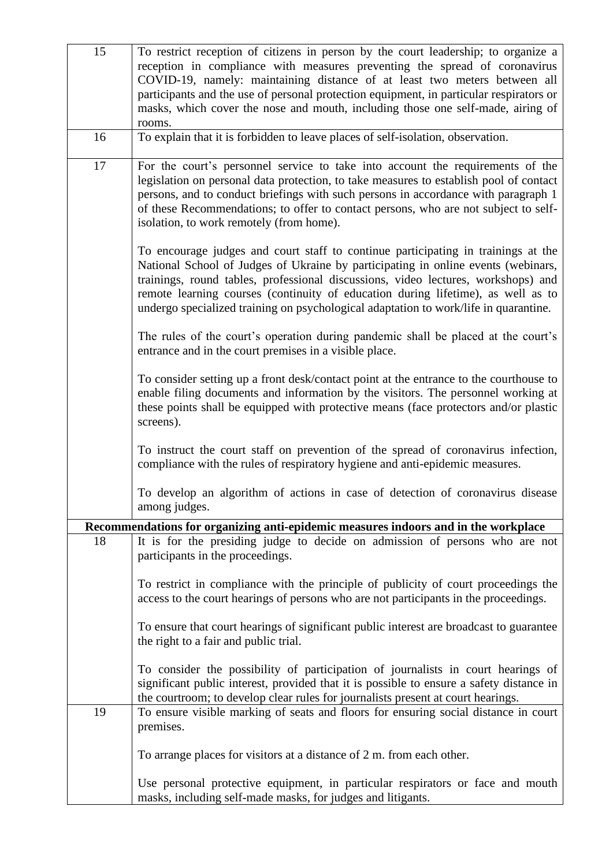| 15 | To restrict reception of citizens in person by the court leadership; to organize a<br>reception in compliance with measures preventing the spread of coronavirus                                                                                                                                                                                                                                                                        |
|----|-----------------------------------------------------------------------------------------------------------------------------------------------------------------------------------------------------------------------------------------------------------------------------------------------------------------------------------------------------------------------------------------------------------------------------------------|
|    | COVID-19, namely: maintaining distance of at least two meters between all<br>participants and the use of personal protection equipment, in particular respirators or                                                                                                                                                                                                                                                                    |
|    | masks, which cover the nose and mouth, including those one self-made, airing of<br>rooms.                                                                                                                                                                                                                                                                                                                                               |
| 16 | To explain that it is forbidden to leave places of self-isolation, observation.                                                                                                                                                                                                                                                                                                                                                         |
| 17 | For the court's personnel service to take into account the requirements of the<br>legislation on personal data protection, to take measures to establish pool of contact<br>persons, and to conduct briefings with such persons in accordance with paragraph 1<br>of these Recommendations; to offer to contact persons, who are not subject to self-<br>isolation, to work remotely (from home).                                       |
|    | To encourage judges and court staff to continue participating in trainings at the<br>National School of Judges of Ukraine by participating in online events (webinars,<br>trainings, round tables, professional discussions, video lectures, workshops) and<br>remote learning courses (continuity of education during lifetime), as well as to<br>undergo specialized training on psychological adaptation to work/life in quarantine. |
|    | The rules of the court's operation during pandemic shall be placed at the court's<br>entrance and in the court premises in a visible place.                                                                                                                                                                                                                                                                                             |
|    | To consider setting up a front desk/contact point at the entrance to the courthouse to<br>enable filing documents and information by the visitors. The personnel working at<br>these points shall be equipped with protective means (face protectors and/or plastic<br>screens).                                                                                                                                                        |
|    | To instruct the court staff on prevention of the spread of coronavirus infection,<br>compliance with the rules of respiratory hygiene and anti-epidemic measures.                                                                                                                                                                                                                                                                       |
|    | To develop an algorithm of actions in case of detection of coronavirus disease<br>among judges.                                                                                                                                                                                                                                                                                                                                         |
|    | Recommendations for organizing anti-epidemic measures indoors and in the workplace                                                                                                                                                                                                                                                                                                                                                      |
| 18 | It is for the presiding judge to decide on admission of persons who are not<br>participants in the proceedings.                                                                                                                                                                                                                                                                                                                         |
|    | To restrict in compliance with the principle of publicity of court proceedings the<br>access to the court hearings of persons who are not participants in the proceedings.                                                                                                                                                                                                                                                              |
|    | To ensure that court hearings of significant public interest are broadcast to guarantee<br>the right to a fair and public trial.                                                                                                                                                                                                                                                                                                        |
|    | To consider the possibility of participation of journalists in court hearings of<br>significant public interest, provided that it is possible to ensure a safety distance in<br>the courtroom; to develop clear rules for journalists present at court hearings.                                                                                                                                                                        |
| 19 | To ensure visible marking of seats and floors for ensuring social distance in court<br>premises.                                                                                                                                                                                                                                                                                                                                        |
|    | To arrange places for visitors at a distance of 2 m. from each other.                                                                                                                                                                                                                                                                                                                                                                   |
|    | Use personal protective equipment, in particular respirators or face and mouth<br>masks, including self-made masks, for judges and litigants.                                                                                                                                                                                                                                                                                           |